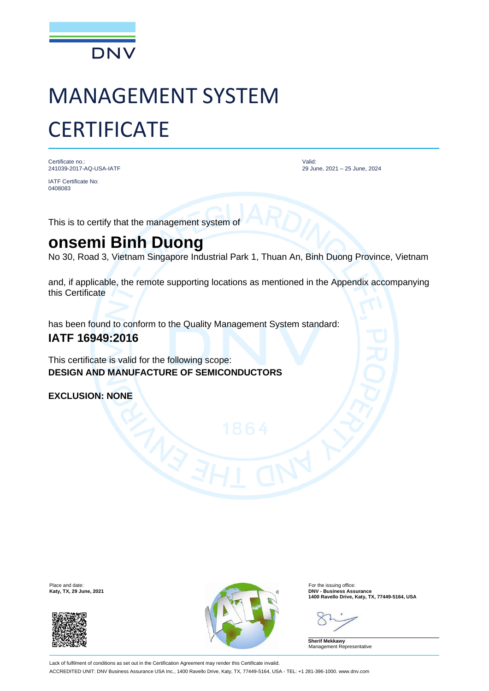

# MANAGEMENT SYSTEM **CERTIFICATE**

Certificate no.: 241039-2017-AQ-USA-IATF

IATF Certificate No: 0408083

Valid: 29 June, 2021 – 25 June, 2024

This is to certify that the management system of

## **onsemi Binh Duong**

No 30, Road 3, Vietnam Singapore Industrial Park 1, Thuan An, Binh Duong Province, Vietnam

and, if applicable, the remote supporting locations as mentioned in the Appendix accompanying this Certificate

has been found to conform to the Quality Management System standard:

### **IATF 16949:2016**

This certificate is valid for the following scope: **DESIGN AND MANUFACTURE OF SEMICONDUCTORS**

**EXCLUSION: NONE**





**Katy, TX, 29 June, 2021**<br>
1400 Ravello Drive, Katy, TX, 77449-5164, USA<br>
1400 Ravello Drive, Katy, TX, 77449-5164, USA

**Sherif Mekkawy** Management Representative

Lack of fulfilment of conditions as set out in the Certification Agreement may render this Certificate invalid. ACCREDITED UNIT: DNV Business Assurance USA Inc., 1400 Ravello Drive, Katy, TX, 77449-5164, USA - TEL: +1 281-396-1000. www.dnv.com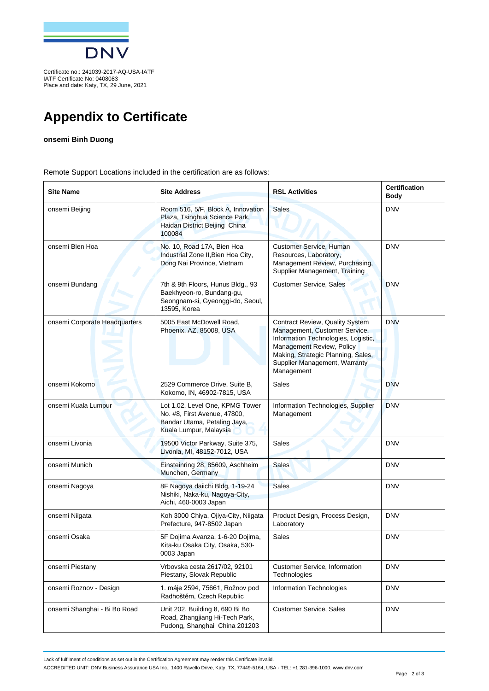

IATF Certificate No: 0408083 Place and date: Katy, TX, 29 June, 2021

## **Appendix to Certificate**

#### **onsemi Binh Duong**

Remote Support Locations included in the certification are as follows:

| <b>Site Name</b>              | <b>Site Address</b>                                                                                                       | <b>RSL Activities</b>                                                                                                                                                                                                     | <b>Certification</b><br><b>Body</b> |
|-------------------------------|---------------------------------------------------------------------------------------------------------------------------|---------------------------------------------------------------------------------------------------------------------------------------------------------------------------------------------------------------------------|-------------------------------------|
| onsemi Beijing                | Room 516, 5/F, Block A, Innovation<br>Plaza, Tsinghua Science Park,<br>Haidan District Beijing China<br>100084            | <b>Sales</b>                                                                                                                                                                                                              | <b>DNV</b>                          |
| onsemi Bien Hoa               | No. 10, Road 17A, Bien Hoa<br>Industrial Zone II, Bien Hoa City,<br>Dong Nai Province, Vietnam                            | Customer Service, Human<br>Resources, Laboratory,<br>Management Review, Purchasing,<br>Supplier Management, Training                                                                                                      | <b>DNV</b>                          |
| onsemi Bundang                | 7th & 9th Floors, Hunus Bldg., 93<br>Baekhyeon-ro, Bundang-gu,<br>Seongnam-si, Gyeonggi-do, Seoul,<br>13595, Korea        | Customer Service, Sales                                                                                                                                                                                                   | <b>DNV</b>                          |
| onsemi Corporate Headquarters | 5005 East McDowell Road,<br>Phoenix, AZ, 85008, USA                                                                       | Contract Review, Quality System<br>Management, Customer Service,<br>Information Technologies, Logistic,<br>Management Review, Policy<br>Making, Strategic Planning, Sales,<br>Supplier Management, Warranty<br>Management | <b>DNV</b>                          |
| onsemi Kokomo                 | 2529 Commerce Drive, Suite B,<br>Kokomo, IN, 46902-7815, USA                                                              | <b>Sales</b>                                                                                                                                                                                                              | <b>DNV</b>                          |
| onsemi Kuala Lumpur           | Lot 1.02, Level One, KPMG Tower<br>No. #8, First Avenue, 47800,<br>Bandar Utama, Petaling Jaya,<br>Kuala Lumpur, Malaysia | Information Technologies, Supplier<br>Management                                                                                                                                                                          | <b>DNV</b>                          |
| onsemi Livonia                | 19500 Victor Parkway, Suite 375,<br>Livonia, MI, 48152-7012, USA                                                          | <b>Sales</b>                                                                                                                                                                                                              | <b>DNV</b>                          |
| onsemi Munich                 | Einsteinring 28, 85609, Aschheim<br>Munchen, Germany                                                                      | <b>Sales</b>                                                                                                                                                                                                              | <b>DNV</b>                          |
| onsemi Nagoya                 | 8F Nagoya daiichi Bldg, 1-19-24<br>Nishiki, Naka-ku, Nagoya-City,<br>Aichi, 460-0003 Japan                                | <b>Sales</b>                                                                                                                                                                                                              | <b>DNV</b>                          |
| onsemi Niigata                | Koh 3000 Chiya, Ojiya-City, Niigata<br>Prefecture, 947-8502 Japan                                                         | Product Design, Process Design,<br>Laboratory                                                                                                                                                                             | <b>DNV</b>                          |
| onsemi Osaka                  | 5F Dojima Avanza, 1-6-20 Dojima,<br>Kita-ku Osaka City, Osaka, 530-<br>0003 Japan                                         | Sales                                                                                                                                                                                                                     | <b>DNV</b>                          |
| onsemi Piestany               | Vrbovska cesta 2617/02, 92101<br>Piestany, Slovak Republic                                                                | <b>Customer Service, Information</b><br>Technologies                                                                                                                                                                      | <b>DNV</b>                          |
| onsemi Roznov - Design        | 1. máje 2594, 75661, Rožnov pod<br>Radhoštěm, Czech Republic                                                              | Information Technologies                                                                                                                                                                                                  | <b>DNV</b>                          |
| onsemi Shanghai - Bi Bo Road  | Unit 202, Building 8, 690 Bi Bo<br>Road, Zhangjiang Hi-Tech Park,<br>Pudong, Shanghai China 201203                        | <b>Customer Service, Sales</b>                                                                                                                                                                                            | <b>DNV</b>                          |

Lack of fulfilment of conditions as set out in the Certification Agreement may render this Certificate invalid.

ACCREDITED UNIT: DNV Business Assurance USA Inc., 1400 Ravello Drive, Katy, TX, 77449-5164, USA - TEL: +1 281-396-1000. www.dnv.com